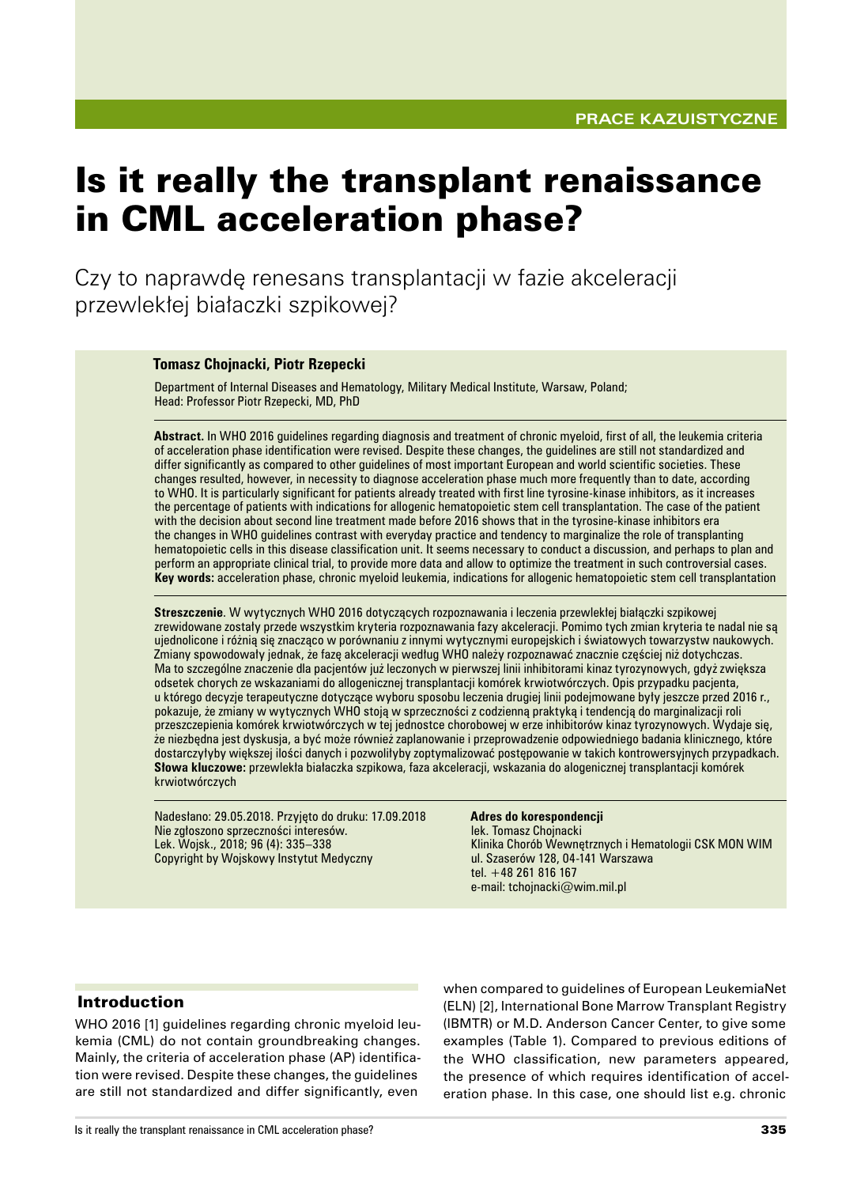# Is it really the transplant renaissance in CML acceleration phase?

Czy to naprawdę renesans transplantacji w fazie akceleracji przewlekłej białaczki szpikowej?

#### **Tomasz Chojnacki, Piotr Rzepecki**

Department of Internal Diseases and Hematology, Military Medical Institute, Warsaw, Poland; Head: Professor Piotr Rzepecki, MD, PhD

**Abstract.** In WHO 2016 guidelines regarding diagnosis and treatment of chronic myeloid, first of all, the leukemia criteria of acceleration phase identification were revised. Despite these changes, the guidelines are still not standardized and differ significantly as compared to other guidelines of most important European and world scientific societies. These changes resulted, however, in necessity to diagnose acceleration phase much more frequently than to date, according to WHO. It is particularly significant for patients already treated with first line tyrosine-kinase inhibitors, as it increases the percentage of patients with indications for allogenic hematopoietic stem cell transplantation. The case of the patient with the decision about second line treatment made before 2016 shows that in the tyrosine-kinase inhibitors era the changes in WHO guidelines contrast with everyday practice and tendency to marginalize the role of transplanting hematopoietic cells in this disease classification unit. It seems necessary to conduct a discussion, and perhaps to plan and perform an appropriate clinical trial, to provide more data and allow to optimize the treatment in such controversial cases. **Key words:** acceleration phase, chronic myeloid leukemia, indications for allogenic hematopoietic stem cell transplantation

**Streszczenie**. W wytycznych WHO 2016 dotyczących rozpoznawania i leczenia przewlekłej białączki szpikowej zrewidowane zostały przede wszystkim kryteria rozpoznawania fazy akceleracji. Pomimo tych zmian kryteria te nadal nie są ujednolicone i różnią się znacząco w porównaniu z innymi wytycznymi europejskich i światowych towarzystw naukowych. Zmiany spowodowały jednak, że fazę akceleracji według WHO należy rozpoznawać znacznie częściej niż dotychczas. Ma to szczególne znaczenie dla pacjentów już leczonych w pierwszej linii inhibitorami kinaz tyrozynowych, gdyż zwiększa odsetek chorych ze wskazaniami do allogenicznej transplantacji komórek krwiotwórczych. Opis przypadku pacjenta, u którego decyzje terapeutyczne dotyczące wyboru sposobu leczenia drugiej linii podejmowane były jeszcze przed 2016 r., pokazuje, że zmiany w wytycznych WHO stoją w sprzeczności z codzienną praktyką i tendencją do marginalizacji roli przeszczepienia komórek krwiotwórczych w tej jednostce chorobowej w erze inhibitorów kinaz tyrozynowych. Wydaje się, że niezbędna jest dyskusja, a być może również zaplanowanie i przeprowadzenie odpowiedniego badania klinicznego, które dostarczyłyby większej ilości danych i pozwoliłyby zoptymalizować postępowanie w takich kontrowersyjnych przypadkach. **Słowa kluczowe:** przewlekła białaczka szpikowa, faza akceleracji, wskazania do alogenicznej transplantacji komórek krwiotwórczych

Nadesłano: 29.05.2018. Przyjęto do druku: 17.09.2018 Nie zgłoszono sprzeczności interesów. Lek. Wojsk., 2018; 96 (4): 335–338 Copyright by Wojskowy Instytut Medyczny

#### **Adres do korespondencji**

lek. Tomasz Chojnacki Klinika Chorób Wewnętrznych i Hematologii CSK MON WIM ul. Szaserów 128, 04-141 Warszawa tel. +48 261 816 167 e‑mail: tchojnacki@wim.mil.pl

### Introduction

WHO 2016 [1] guidelines regarding chronic myeloid leukemia (CML) do not contain groundbreaking changes. Mainly, the criteria of acceleration phase (AP) identification were revised. Despite these changes, the guidelines are still not standardized and differ significantly, even when compared to guidelines of European LeukemiaNet (ELN) [2], International Bone Marrow Transplant Registry (IBMTR) or M.D. Anderson Cancer Center, to give some examples (Table 1). Compared to previous editions of the WHO classification, new parameters appeared, the presence of which requires identification of acceleration phase. In this case, one should list e.g. chronic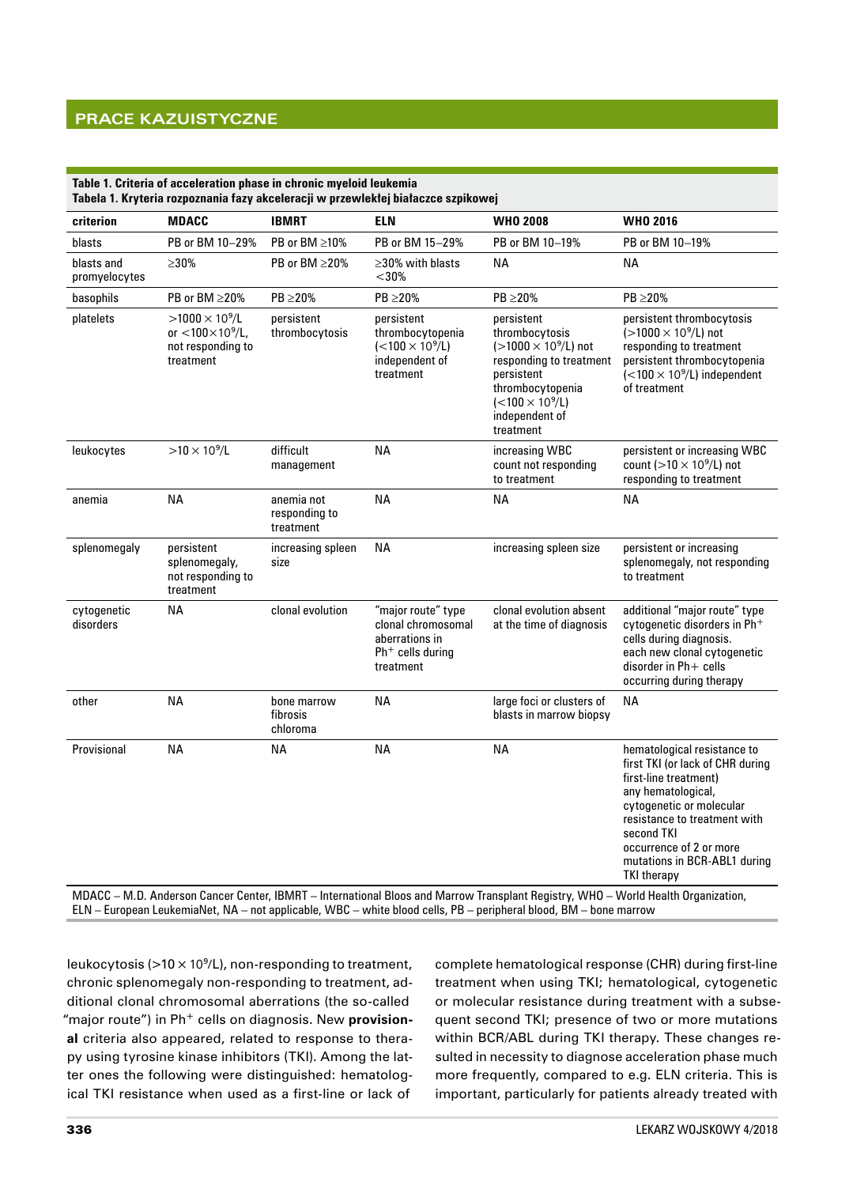# **Prace kazuistyczne**

| criterion                   | <b>MDACC</b>                                                                                  | <b>IBMRT</b>                             | <b>ELN</b>                                                                                    | <b>WHO 2008</b>                                                                                                                                                                    | <b>WHO 2016</b>                                                                                                                                                                                                                                                           |
|-----------------------------|-----------------------------------------------------------------------------------------------|------------------------------------------|-----------------------------------------------------------------------------------------------|------------------------------------------------------------------------------------------------------------------------------------------------------------------------------------|---------------------------------------------------------------------------------------------------------------------------------------------------------------------------------------------------------------------------------------------------------------------------|
| blasts                      | PB or BM 10-29%                                                                               | PB or BM >10%                            | PB or BM 15-29%                                                                               | PB or BM 10-19%                                                                                                                                                                    | PB or BM 10-19%                                                                                                                                                                                                                                                           |
| blasts and<br>promyelocytes | $>30\%$                                                                                       | PB or BM ≥20%                            | $\geq$ 30% with blasts<br>$<$ 30%                                                             | ΝA                                                                                                                                                                                 | <b>NA</b>                                                                                                                                                                                                                                                                 |
| basophils                   | PB or BM $\geq$ 20%                                                                           | $PB \geq 20\%$                           | PB ≥20%                                                                                       | $PB \geq 20\%$                                                                                                                                                                     | $PB \geq 20\%$                                                                                                                                                                                                                                                            |
| platelets                   | $>1000 \times 10^9$ /L<br>or $<$ 100 $\times$ 10 $^{9}$ /L,<br>not responding to<br>treatment | persistent<br>thrombocytosis             | persistent<br>thrombocytopenia<br>$(<100 \times 10^9/L)$<br>independent of<br>treatment       | persistent<br>thrombocytosis<br>$(>1000 \times 10^9$ /L) not<br>responding to treatment<br>persistent<br>thrombocytopenia<br>$(<100 \times 10^9/L)$<br>independent of<br>treatment | persistent thrombocytosis<br>(>1000 × 10 <sup>9</sup> /L) not<br>responding to treatment<br>persistent thrombocytopenia<br>$(<100 \times 10^9/L$ ) independent<br>of treatment                                                                                            |
| leukocytes                  | $>10 \times 10^9$ /L                                                                          | difficult<br>management                  | <b>NA</b>                                                                                     | increasing WBC<br>count not responding<br>to treatment                                                                                                                             | persistent or increasing WBC<br>count ( $>10 \times 10^9$ /L) not<br>responding to treatment                                                                                                                                                                              |
| anemia                      | <b>NA</b>                                                                                     | anemia not<br>responding to<br>treatment | <b>NA</b>                                                                                     | <b>NA</b>                                                                                                                                                                          | <b>NA</b>                                                                                                                                                                                                                                                                 |
| splenomegaly                | persistent<br>splenomegaly,<br>not responding to<br>treatment                                 | increasing spleen<br>size                | <b>NA</b>                                                                                     | increasing spleen size                                                                                                                                                             | persistent or increasing<br>splenomegaly, not responding<br>to treatment                                                                                                                                                                                                  |
| cytogenetic<br>disorders    | <b>NA</b>                                                                                     | clonal evolution                         | "major route" type<br>clonal chromosomal<br>aberrations in<br>$Ph+$ cells during<br>treatment | clonal evolution absent<br>at the time of diagnosis                                                                                                                                | additional "major route" type<br>cytogenetic disorders in Ph <sup>+</sup><br>cells during diagnosis.<br>each new clonal cytogenetic<br>disorder in Ph+ cells<br>occurring during therapy                                                                                  |
| other                       | <b>NA</b>                                                                                     | bone marrow<br>fibrosis<br>chloroma      | ΝA                                                                                            | large foci or clusters of<br>blasts in marrow biopsy                                                                                                                               | <b>NA</b>                                                                                                                                                                                                                                                                 |
| Provisional                 | <b>NA</b>                                                                                     | ΝA                                       | <b>NA</b>                                                                                     | <b>NA</b>                                                                                                                                                                          | hematological resistance to<br>first TKI (or lack of CHR during<br>first-line treatment)<br>any hematological,<br>cytogenetic or molecular<br>resistance to treatment with<br>second TKI<br>occurrence of 2 or more<br>mutations in BCR-ABL1 during<br><b>TKI therapy</b> |

MDACC – M.D. Anderson Cancer Center, IBMRT – International Bloos and Marrow Transplant Registry, WHO – World Health Organization, ELN – European LeukemiaNet, NA – not applicable, WBC – white blood cells, PB – peripheral blood, BM – bone marrow

leukocytosis ( $>10 \times 10^9$ /L), non-responding to treatment, chronic splenomegaly non‑responding to treatment, additional clonal chromosomal aberrations (the so-called "major route") in Ph<sup>+</sup> cells on diagnosis. New **provisional** criteria also appeared, related to response to therapy using tyrosine kinase inhibitors (TKI). Among the latter ones the following were distinguished: hematological TKI resistance when used as a first-line or lack of

complete hematological response (CHR) during first-line treatment when using TKI; hematological, cytogenetic or molecular resistance during treatment with a subsequent second TKI; presence of two or more mutations within BCR/ABL during TKI therapy. These changes resulted in necessity to diagnose acceleration phase much more frequently, compared to e.g. ELN criteria. This is important, particularly for patients already treated with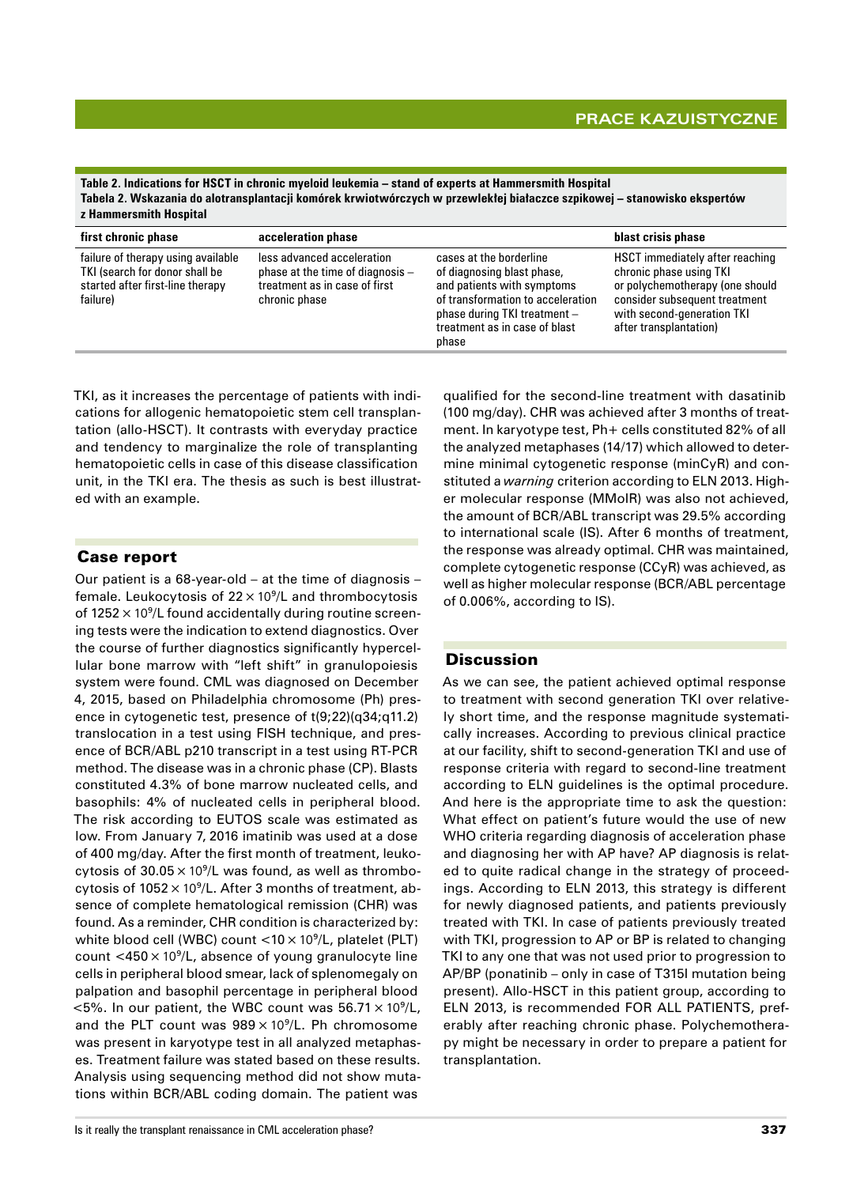**Table 2. Indications for HSCT in chronic myeloid leukemia – stand of experts at Hammersmith Hospital Tabela 2. Wskazania do alotransplantacji komórek krwiotwórczych w przewlekłej białaczce szpikowej – stanowisko ekspertów z Hammersmith Hospital**

| first chronic phase                                                                                                  | acceleration phase                                                                                                 | blast crisis phase                                                                                                                                                                                 |                                                                                                                                                                                        |
|----------------------------------------------------------------------------------------------------------------------|--------------------------------------------------------------------------------------------------------------------|----------------------------------------------------------------------------------------------------------------------------------------------------------------------------------------------------|----------------------------------------------------------------------------------------------------------------------------------------------------------------------------------------|
| failure of therapy using available<br>TKI (search for donor shall be<br>started after first-line therapy<br>failure) | less advanced acceleration<br>phase at the time of diagnosis $-$<br>treatment as in case of first<br>chronic phase | cases at the borderline<br>of diagnosing blast phase,<br>and patients with symptoms<br>of transformation to acceleration<br>phase during TKI treatment -<br>treatment as in case of blast<br>phase | HSCT immediately after reaching<br>chronic phase using TKI<br>or polychemotherapy (one should<br>consider subsequent treatment<br>with second-generation TKI<br>after transplantation) |

TKI, as it increases the percentage of patients with indications for allogenic hematopoietic stem cell transplantation (allo‑HSCT). It contrasts with everyday practice and tendency to marginalize the role of transplanting hematopoietic cells in case of this disease classification unit, in the TKI era. The thesis as such is best illustrated with an example.

## Case report

Our patient is a 68‑year‑old – at the time of diagnosis – female. Leukocytosis of  $22 \times 10^9$ /L and thrombocytosis of  $1252 \times 10^9$ /L found accidentally during routine screening tests were the indication to extend diagnostics. Over the course of further diagnostics significantly hypercellular bone marrow with "left shift" in granulopoiesis system were found. CML was diagnosed on December 4, 2015, based on Philadelphia chromosome (Ph) presence in cytogenetic test, presence of t(9;22)(q34;q11.2) translocation in a test using FISH technique, and presence of BCR/ABL p210 transcript in a test using RT‑PCR method. The disease was in a chronic phase (CP). Blasts constituted 4.3% of bone marrow nucleated cells, and basophils: 4% of nucleated cells in peripheral blood. The risk according to EUTOS scale was estimated as low. From January 7, 2016 imatinib was used at a dose of 400 mg/day. After the first month of treatment, leukocytosis of  $30.05 \times 10^9$ /L was found, as well as thrombocytosis of  $1052 \times 10^9$ /L. After 3 months of treatment, absence of complete hematological remission (CHR) was found. As a reminder, CHR condition is characterized by: white blood cell (WBC) count  $<$ 10  $\times$  10<sup>9</sup>/L, platelet (PLT) count  $\langle 450 \times 10^9 \rangle$ L, absence of young granulocyte line cells in peripheral blood smear, lack of splenomegaly on palpation and basophil percentage in peripheral blood  $<$ 5%. In our patient, the WBC count was 56.71  $\times$  10<sup>9</sup>/L, and the PLT count was  $989 \times 10^9$ /L. Ph chromosome was present in karyotype test in all analyzed metaphases. Treatment failure was stated based on these results. Analysis using sequencing method did not show mutations within BCR/ABL coding domain. The patient was

qualified for the second-line treatment with dasatinib (100 mg/day). CHR was achieved after 3 months of treatment. In karyotype test, Ph+ cells constituted 82% of all the analyzed metaphases (14/17) which allowed to determine minimal cytogenetic response (minCyR) and constituted a *warning* criterion according to ELN 2013. Higher molecular response (MMoIR) was also not achieved, the amount of BCR/ABL transcript was 29.5% according to international scale (IS). After 6 months of treatment, the response was already optimal. CHR was maintained, complete cytogenetic response (CCyR) was achieved, as well as higher molecular response (BCR/ABL percentage of 0.006%, according to IS).

## **Discussion**

As we can see, the patient achieved optimal response to treatment with second generation TKI over relatively short time, and the response magnitude systematically increases. According to previous clinical practice at our facility, shift to second‑generation TKI and use of response criteria with regard to second-line treatment according to ELN guidelines is the optimal procedure. And here is the appropriate time to ask the question: What effect on patient's future would the use of new WHO criteria regarding diagnosis of acceleration phase and diagnosing her with AP have? AP diagnosis is related to quite radical change in the strategy of proceedings. According to ELN 2013, this strategy is different for newly diagnosed patients, and patients previously treated with TKI. In case of patients previously treated with TKI, progression to AP or BP is related to changing TKI to any one that was not used prior to progression to AP/BP (ponatinib – only in case of T315I mutation being present). Allo-HSCT in this patient group, according to ELN 2013, is recommended FOR ALL PATIENTS, preferably after reaching chronic phase. Polychemotherapy might be necessary in order to prepare a patient for transplantation.